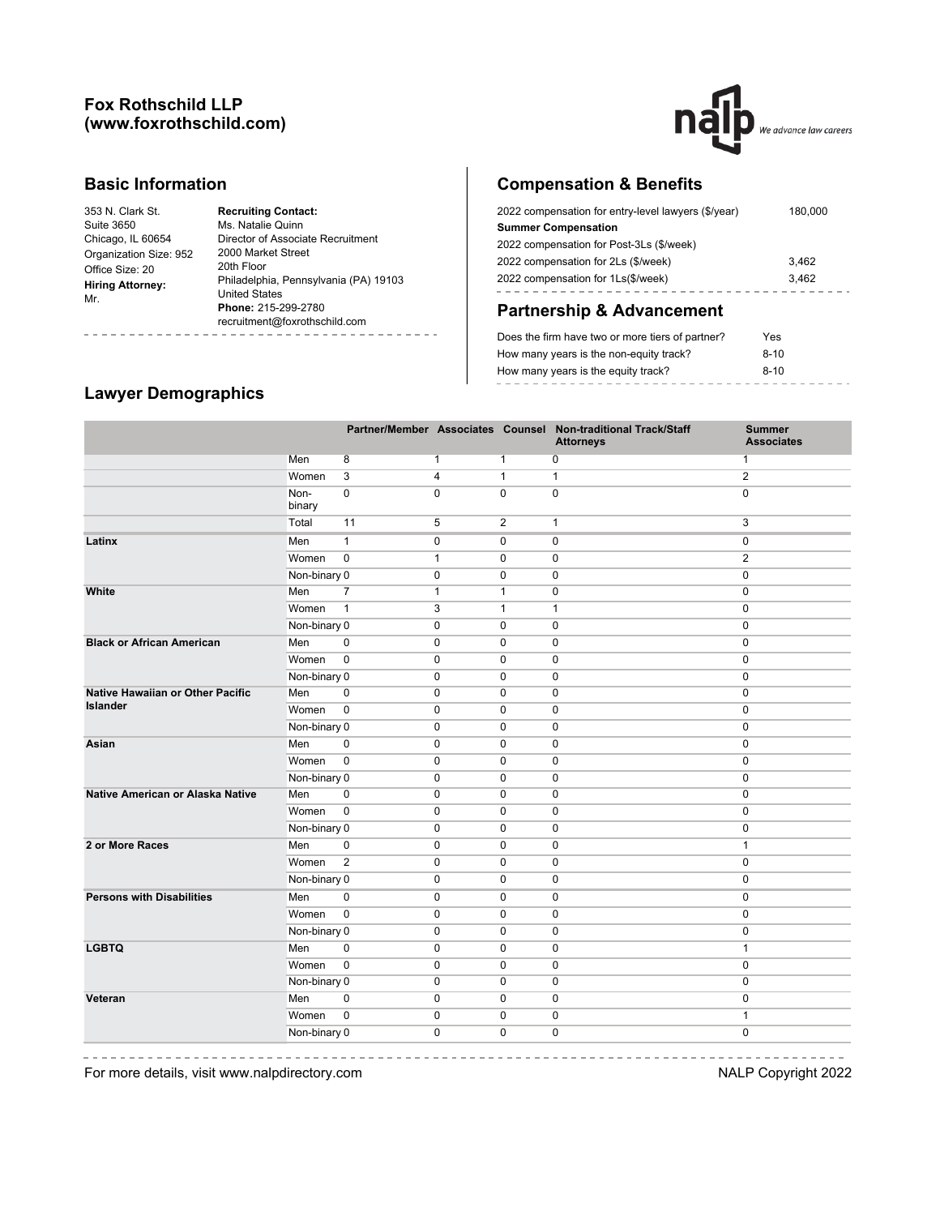## **Fox Rothschild LLP (www.foxrothschild.com)**



#### **Basic Information**

i.

| 353 N. Clark St.        | <b>Recruiting Contact:</b>            |
|-------------------------|---------------------------------------|
| Suite 3650              | Ms. Natalie Quinn                     |
| Chicago, IL 60654       | Director of Associate Recruitment     |
| Organization Size: 952  | 2000 Market Street                    |
| Office Size: 20         | 20th Floor                            |
| <b>Hiring Attorney:</b> | Philadelphia, Pennsylvania (PA) 19103 |
| Mr.                     | <b>United States</b>                  |
|                         | Phone: 215-299-2780                   |
|                         | recruitment@foxrothschild.com         |
|                         |                                       |

# **Compensation & Benefits**

| 2022 compensation for entry-level lawyers (\$/year) | 180,000 |
|-----------------------------------------------------|---------|
| <b>Summer Compensation</b>                          |         |
| 2022 compensation for Post-3Ls (\$/week)            |         |
| 2022 compensation for 2Ls (\$/week)                 | 3.462   |
| 2022 compensation for 1Ls(\$/week)                  | 3.462   |
|                                                     |         |

# **Partnership & Advancement**

| Does the firm have two or more tiers of partner? | Yes    |
|--------------------------------------------------|--------|
| How many years is the non-equity track?          | $8-10$ |
| How many years is the equity track?              | $8-10$ |
|                                                  |        |

# **Lawyer Demographics**

|                                  |                |                |                |                | Partner/Member Associates Counsel Non-traditional Track/Staff<br><b>Attorneys</b> | <b>Summer</b><br><b>Associates</b> |
|----------------------------------|----------------|----------------|----------------|----------------|-----------------------------------------------------------------------------------|------------------------------------|
|                                  | Men            | $\overline{8}$ | $\mathbf{1}$   | $\mathbf{1}$   | $\overline{\text{o}}$                                                             | $\mathbf{1}$                       |
|                                  | Women          | $\overline{3}$ | $\overline{4}$ | $\overline{1}$ | $\overline{1}$                                                                    | $\overline{2}$                     |
|                                  | Non-<br>binary | $\overline{0}$ | $\mathbf 0$    | $\overline{0}$ | $\overline{0}$                                                                    | $\overline{0}$                     |
|                                  | Total          | 11             | 5              | $\mathbf{2}$   | $\mathbf{1}$                                                                      | 3                                  |
| Latinx                           | Men            | $\mathbf{1}$   | 0              | 0              | 0                                                                                 | 0                                  |
|                                  | Women          | $\overline{0}$ | $\mathbf{1}$   | 0              | 0                                                                                 | $\overline{2}$                     |
|                                  | Non-binary 0   |                | 0              | $\mathbf 0$    | $\mathbf 0$                                                                       | $\mathbf 0$                        |
| White                            | Men            | $\overline{7}$ | $\mathbf{1}$   | $\mathbf{1}$   | 0                                                                                 | $\mathbf 0$                        |
|                                  | Women          | $\mathbf{1}$   | 3              | $\mathbf{1}$   | $\mathbf{1}$                                                                      | $\mathbf 0$                        |
|                                  | Non-binary 0   |                | $\mathbf 0$    | 0              | $\pmb{0}$                                                                         | $\mathbf 0$                        |
| <b>Black or African American</b> | Men            | $\pmb{0}$      | $\mathbf 0$    | $\mathbf 0$    | 0                                                                                 | $\mathbf 0$                        |
|                                  | Women          | $\mathbf 0$    | $\mathbf 0$    | 0              | 0                                                                                 | $\mathbf 0$                        |
|                                  | Non-binary 0   |                | $\mathbf 0$    | $\mathbf 0$    | $\mathbf 0$                                                                       | $\mathbf 0$                        |
| Native Hawaiian or Other Pacific | Men            | $\pmb{0}$      | $\pmb{0}$      | $\pmb{0}$      | 0                                                                                 | $\mathbf 0$                        |
| <b>Islander</b>                  | Women          | $\mathbf 0$    | $\pmb{0}$      | 0              | 0                                                                                 | $\mathbf 0$                        |
|                                  | Non-binary 0   |                | $\mathbf 0$    | 0              | $\pmb{0}$                                                                         | $\pmb{0}$                          |
| Asian                            | Men            | 0              | $\mathbf 0$    | 0              | $\mathbf 0$                                                                       | $\pmb{0}$                          |
|                                  | Women          | $\mathbf 0$    | $\mathbf 0$    | $\mathbf 0$    | $\mathbf 0$                                                                       | $\mathbf 0$                        |
|                                  | Non-binary 0   |                | $\mathbf 0$    | $\mathbf 0$    | $\mathbf 0$                                                                       | $\mathbf 0$                        |
| Native American or Alaska Native | Men            | $\pmb{0}$      | $\mathbf 0$    | $\mathbf 0$    | $\mathbf 0$                                                                       | $\mathbf 0$                        |
|                                  | Women          | $\overline{0}$ | 0              | 0              | 0                                                                                 | $\pmb{0}$                          |
|                                  | Non-binary 0   |                | $\pmb{0}$      | $\pmb{0}$      | 0                                                                                 | $\mathbf 0$                        |
| 2 or More Races                  | Men            | $\pmb{0}$      | $\pmb{0}$      | 0              | 0                                                                                 | 1                                  |
|                                  | Women          | $\overline{2}$ | $\mathbf 0$    | $\mathbf 0$    | $\mathbf 0$                                                                       | $\mathbf 0$                        |
|                                  | Non-binary 0   |                | $\mathbf 0$    | $\mathbf 0$    | $\mathbf 0$                                                                       | $\mathbf 0$                        |
| <b>Persons with Disabilities</b> | Men            | $\pmb{0}$      | 0              | 0              | 0                                                                                 | 0                                  |
|                                  | Women          | $\overline{0}$ | 0              | 0              | 0                                                                                 | $\pmb{0}$                          |
|                                  | Non-binary 0   |                | $\mathbf 0$    | $\mathbf 0$    | 0                                                                                 | $\mathbf 0$                        |
| <b>LGBTQ</b>                     | Men            | $\mathbf 0$    | $\mathbf 0$    | $\mathbf 0$    | $\mathbf 0$                                                                       | 1                                  |
|                                  | Women          | $\overline{0}$ | $\pmb{0}$      | $\mathbf 0$    | 0                                                                                 | $\mathbf 0$                        |
|                                  | Non-binary 0   |                | $\mathbf 0$    | $\mathbf 0$    | $\mathbf 0$                                                                       | $\mathbf 0$                        |
| Veteran                          | Men            | $\mathbf 0$    | $\mathbf 0$    | $\mathbf 0$    | $\mathbf 0$                                                                       | $\mathbf 0$                        |
|                                  | Women          | $\mathbf 0$    | 0              | 0              | 0                                                                                 | $\mathbf{1}$                       |
|                                  | Non-binary 0   |                | $\mathbf 0$    | $\mathbf 0$    | $\mathbf 0$                                                                       | $\mathbf 0$                        |

 $\frac{1}{2} \frac{1}{2} \frac{1}{2} \frac{1}{2} \frac{1}{2} \frac{1}{2} \frac{1}{2} \frac{1}{2} \frac{1}{2} \frac{1}{2} \frac{1}{2} \frac{1}{2} \frac{1}{2} \frac{1}{2} \frac{1}{2} \frac{1}{2} \frac{1}{2} \frac{1}{2} \frac{1}{2} \frac{1}{2} \frac{1}{2} \frac{1}{2} \frac{1}{2} \frac{1}{2} \frac{1}{2} \frac{1}{2} \frac{1}{2} \frac{1}{2} \frac{1}{2} \frac{1}{2} \frac{1}{2} \frac{$ 

For more details, visit www.nalpdirectory.com **NALP** Copyright 2022

-------------- $\sim$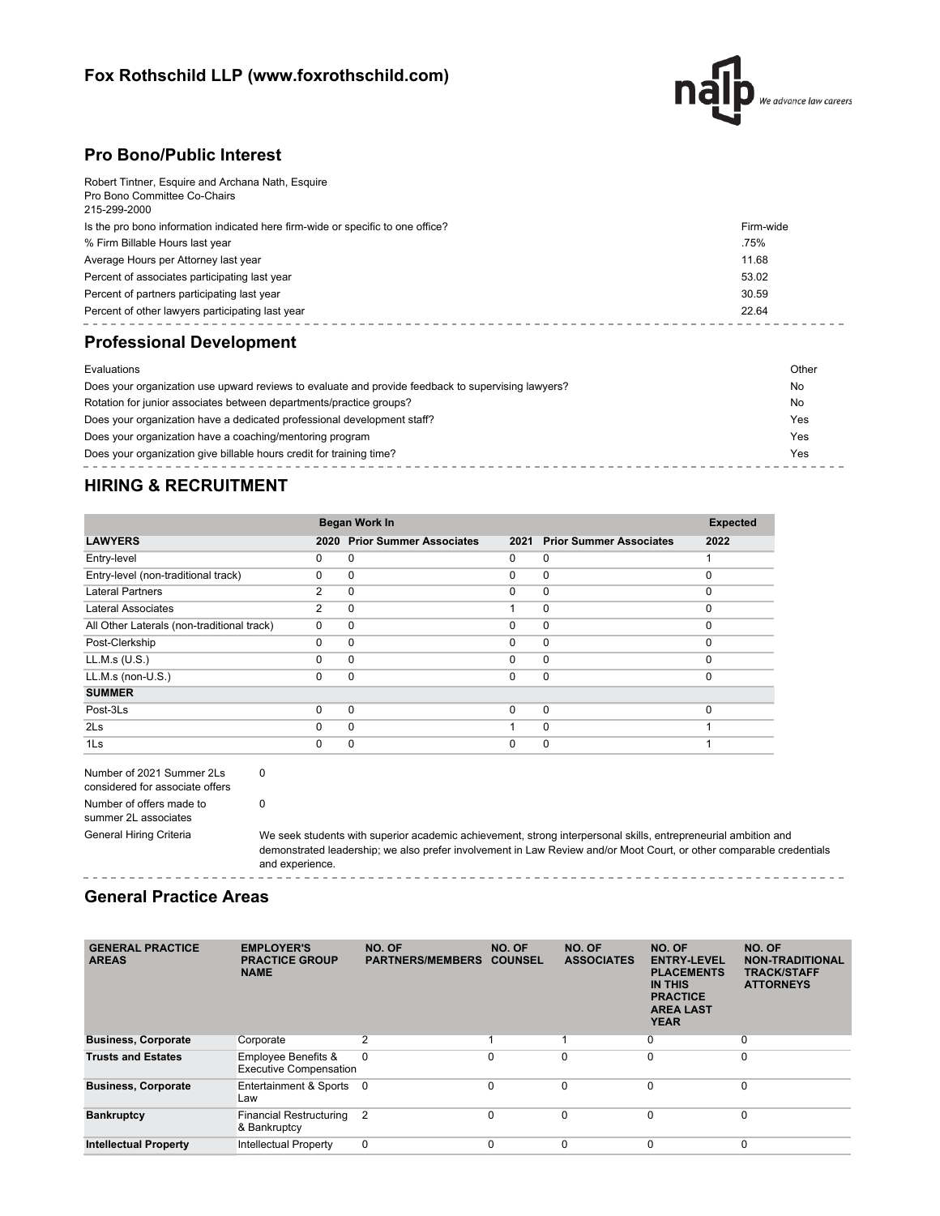# **Fox Rothschild LLP (www.foxrothschild.com)**



## **Pro Bono/Public Interest**

| Robert Tintner, Esquire and Archana Nath, Esquire                               |           |
|---------------------------------------------------------------------------------|-----------|
| Pro Bono Committee Co-Chairs<br>215-299-2000                                    |           |
|                                                                                 |           |
| Is the pro bono information indicated here firm-wide or specific to one office? | Firm-wide |
| % Firm Billable Hours last year                                                 | .75%      |
| Average Hours per Attorney last year                                            | 11.68     |
| Percent of associates participating last year                                   | 53.02     |
| Percent of partners participating last year                                     | 30.59     |
| Percent of other lawyers participating last year                                | 22.64     |
|                                                                                 |           |

# **Professional Development**

| Evaluations                                                                                        | Other |
|----------------------------------------------------------------------------------------------------|-------|
| Does your organization use upward reviews to evaluate and provide feedback to supervising lawyers? | No    |
| Rotation for junior associates between departments/practice groups?                                | No    |
| Does your organization have a dedicated professional development staff?                            | Yes   |
| Does your organization have a coaching/mentoring program                                           | Yes   |
| Does your organization give billable hours credit for training time?                               | Yes   |
|                                                                                                    |       |

# **HIRING & RECRUITMENT**

|                                            | Began Work In | <b>Expected</b>                |          |                                |          |
|--------------------------------------------|---------------|--------------------------------|----------|--------------------------------|----------|
| <b>LAWYERS</b>                             | 2020          | <b>Prior Summer Associates</b> | 2021     | <b>Prior Summer Associates</b> | 2022     |
| Entry-level                                | 0             | 0                              | 0        | $\mathbf 0$                    |          |
| Entry-level (non-traditional track)        | 0             | 0                              | $\Omega$ | 0                              | $\Omega$ |
| <b>Lateral Partners</b>                    | 2             | $\Omega$                       | $\Omega$ | $\mathbf{0}$                   | $\Omega$ |
| <b>Lateral Associates</b>                  | 2             | 0                              |          | $\mathbf 0$                    |          |
| All Other Laterals (non-traditional track) | $\Omega$      | $\Omega$                       | $\Omega$ | $\mathbf 0$                    | O        |
| Post-Clerkship                             | 0             | $\Omega$                       | $\Omega$ | $\mathbf 0$                    | $\Omega$ |
| LL.M.s (U.S.)                              | 0             | $\Omega$                       | $\Omega$ | 0                              | $\Omega$ |
| LL.M.s (non-U.S.)                          | 0             | $\Omega$                       | $\Omega$ | $\mathbf 0$                    | $\Omega$ |
| <b>SUMMER</b>                              |               |                                |          |                                |          |
| Post-3Ls                                   | 0             | $\Omega$                       | $\Omega$ | $\mathbf{0}$                   |          |
| 2 <sub>ls</sub>                            | $\Omega$      | $\Omega$                       |          | $\Omega$                       |          |
| 1Ls                                        | 0             | 0                              | 0        | $\mathbf 0$                    |          |

| Number of 2021 Summer 2Ls       |  |  |  |  |
|---------------------------------|--|--|--|--|
| considered for associate offers |  |  |  |  |
| Number of offers made to        |  |  |  |  |
| summer 2L associates            |  |  |  |  |
| <b>General Hiring Criteria</b>  |  |  |  |  |

0

0

We seek students with superior academic achievement, strong interpersonal skills, entrepreneurial ambition and demonstrated leadership; we also prefer involvement in Law Review and/or Moot Court, or other comparable credentials and experience. ------------

#### **General Practice Areas**

| <b>GENERAL PRACTICE</b><br><b>AREAS</b> | <b>EMPLOYER'S</b><br><b>PRACTICE GROUP</b><br><b>NAME</b>       | NO. OF<br><b>PARTNERS/MEMBERS</b> | NO. OF<br><b>COUNSEL</b> | NO. OF<br><b>ASSOCIATES</b> | NO. OF<br><b>ENTRY-LEVEL</b><br><b>PLACEMENTS</b><br><b>IN THIS</b><br><b>PRACTICE</b><br><b>AREA LAST</b><br><b>YEAR</b> | NO. OF<br><b>NON-TRADITIONAL</b><br><b>TRACK/STAFF</b><br><b>ATTORNEYS</b> |
|-----------------------------------------|-----------------------------------------------------------------|-----------------------------------|--------------------------|-----------------------------|---------------------------------------------------------------------------------------------------------------------------|----------------------------------------------------------------------------|
| <b>Business, Corporate</b>              | Corporate                                                       | 2                                 |                          |                             | 0                                                                                                                         | 0                                                                          |
| <b>Trusts and Estates</b>               | <b>Employee Benefits &amp;</b><br><b>Executive Compensation</b> | $\Omega$                          | $\Omega$                 | $\Omega$                    | $\Omega$                                                                                                                  | 0                                                                          |
| <b>Business, Corporate</b>              | Entertainment & Sports<br>Law                                   | - 0                               | $\Omega$                 | $\Omega$                    | $\Omega$                                                                                                                  | $\mathbf 0$                                                                |
| <b>Bankruptcy</b>                       | <b>Financial Restructuring</b><br>& Bankruptcy                  | $\overline{2}$                    | $\Omega$                 | $\Omega$                    | $\Omega$                                                                                                                  | $\Omega$                                                                   |
| <b>Intellectual Property</b>            | <b>Intellectual Property</b>                                    | 0                                 | $\Omega$                 | $\Omega$                    | 0                                                                                                                         | 0                                                                          |